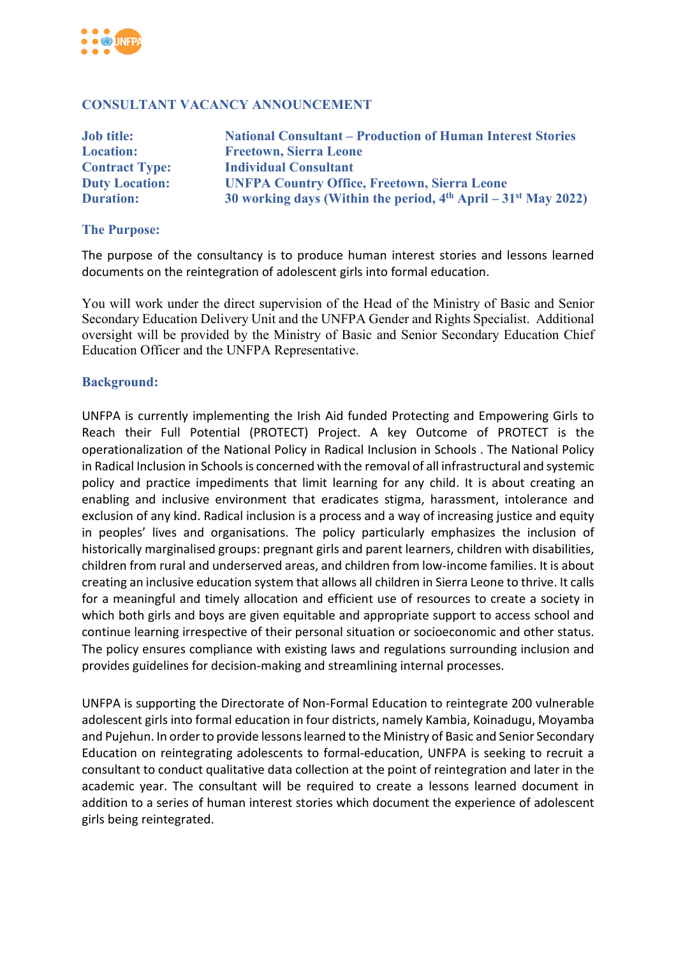

### **CONSULTANT VACANCY ANNOUNCEMENT**

| <b>Job title:</b>     | <b>National Consultant – Production of Human Interest Stories</b>            |
|-----------------------|------------------------------------------------------------------------------|
| <b>Location:</b>      | <b>Freetown, Sierra Leone</b>                                                |
| <b>Contract Type:</b> | <b>Individual Consultant</b>                                                 |
| <b>Duty Location:</b> | <b>UNFPA Country Office, Freetown, Sierra Leone</b>                          |
| <b>Duration:</b>      | 30 working days (Within the period, $4th$ April – 31 <sup>st</sup> May 2022) |

#### **The Purpose:**

The purpose of the consultancy is to produce human interest stories and lessons learned documents on the reintegration of adolescent girls into formal education.

You will work under the direct supervision of the Head of the Ministry of Basic and Senior Secondary Education Delivery Unit and the UNFPA Gender and Rights Specialist. Additional oversight will be provided by the Ministry of Basic and Senior Secondary Education Chief Education Officer and the UNFPA Representative.

#### **Background:**

UNFPA is currently implementing the Irish Aid funded Protecting and Empowering Girls to Reach their Full Potential (PROTECT) Project. A key Outcome of PROTECT is the operationalization of the National Policy in Radical Inclusion in Schools . The National Policy in Radical Inclusion in Schools is concerned with the removal of all infrastructural and systemic policy and practice impediments that limit learning for any child. It is about creating an enabling and inclusive environment that eradicates stigma, harassment, intolerance and exclusion of any kind. Radical inclusion is a process and a way of increasing justice and equity in peoples' lives and organisations. The policy particularly emphasizes the inclusion of historically marginalised groups: pregnant girls and parent learners, children with disabilities, children from rural and underserved areas, and children from low-income families. It is about creating an inclusive education system that allows all children in Sierra Leone to thrive. It calls for a meaningful and timely allocation and efficient use of resources to create a society in which both girls and boys are given equitable and appropriate support to access school and continue learning irrespective of their personal situation or socioeconomic and other status. The policy ensures compliance with existing laws and regulations surrounding inclusion and provides guidelines for decision-making and streamlining internal processes.

UNFPA is supporting the Directorate of Non-Formal Education to reintegrate 200 vulnerable adolescent girls into formal education in four districts, namely Kambia, Koinadugu, Moyamba and Pujehun. In order to provide lessons learned to the Ministry of Basic and Senior Secondary Education on reintegrating adolescents to formal-education, UNFPA is seeking to recruit a consultant to conduct qualitative data collection at the point of reintegration and later in the academic year. The consultant will be required to create a lessons learned document in addition to a series of human interest stories which document the experience of adolescent girls being reintegrated.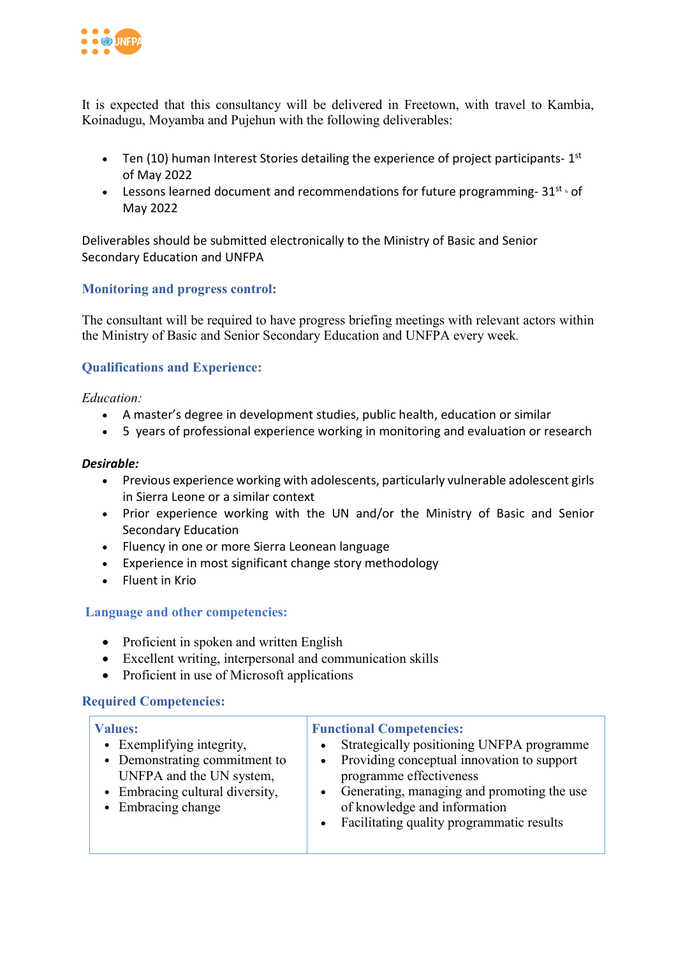

It is expected that this consultancy will be delivered in Freetown, with travel to Kambia, Koinadugu, Moyamba and Pujehun with the following deliverables:

- Ten (10) human Interest Stories detailing the experience of project participants-  $1<sup>st</sup>$ of May 2022
- Lessons learned document and recommendations for future programming- $31^{st}$  h of May 2022

Deliverables should be submitted electronically to the Ministry of Basic and Senior Secondary Education and UNFPA

## **Monitoring and progress control:**

The consultant will be required to have progress briefing meetings with relevant actors within the Ministry of Basic and Senior Secondary Education and UNFPA every week*.*

## **Qualifications and Experience:**

*Education:* 

- A master's degree in development studies, public health, education or similar
- 5 years of professional experience working in monitoring and evaluation or research

### *Desirable:*

- Previous experience working with adolescents, particularly vulnerable adolescent girls in Sierra Leone or a similar context
- Prior experience working with the UN and/or the Ministry of Basic and Senior Secondary Education
- Fluency in one or more Sierra Leonean language
- Experience in most significant change story methodology
- Fluent in Krio

### **Language and other competencies:**

- Proficient in spoken and written English
- Excellent writing, interpersonal and communication skills
- Proficient in use of Microsoft applications

### **Required Competencies:**

| $\bullet$<br>• Demonstrating commitment to<br>UNFPA and the UN system,<br>programme effectiveness<br>• Embracing cultural diversity,<br>• Embracing change<br>of knowledge and information<br>• Facilitating quality programmatic results | <b>Values:</b><br>• Exemplifying integrity, | <b>Functional Competencies:</b><br>Strategically positioning UNFPA programme<br>• Providing conceptual innovation to support<br>• Generating, managing and promoting the use |
|-------------------------------------------------------------------------------------------------------------------------------------------------------------------------------------------------------------------------------------------|---------------------------------------------|------------------------------------------------------------------------------------------------------------------------------------------------------------------------------|
|-------------------------------------------------------------------------------------------------------------------------------------------------------------------------------------------------------------------------------------------|---------------------------------------------|------------------------------------------------------------------------------------------------------------------------------------------------------------------------------|